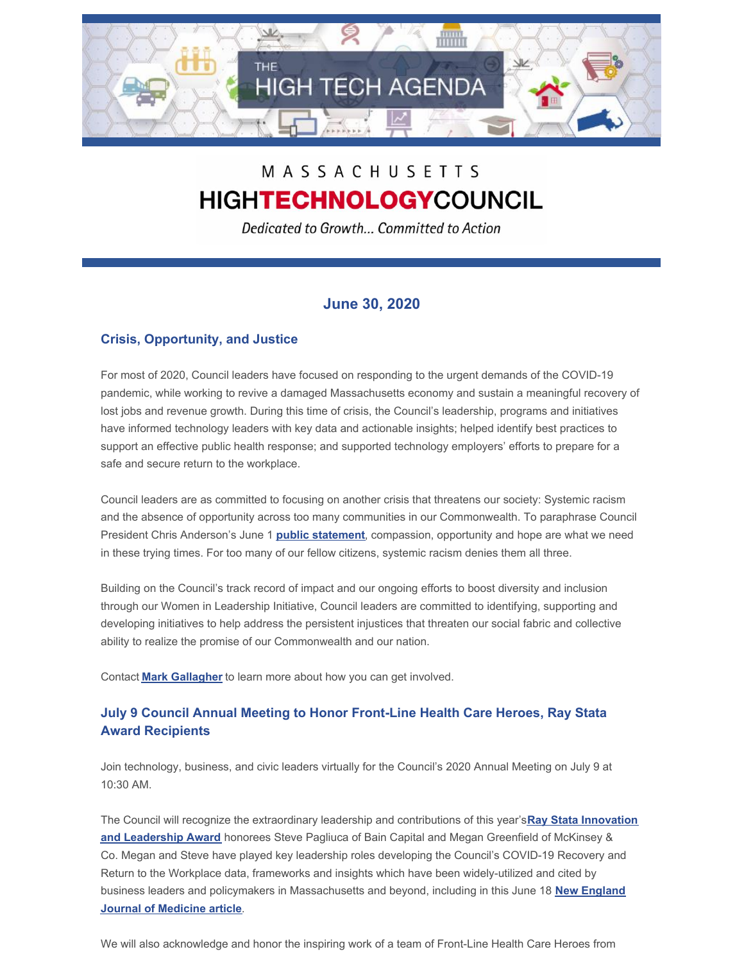

# MASSACHUSETTS **HIGHTECHNOLOGYCOUNCIL**

Dedicated to Growth... Committed to Action

# **June 30, 2020**

## **Crisis, Opportunity, and Justice**

For most of 2020, Council leaders have focused on responding to the urgent demands of the COVID-19 pandemic, while working to revive a damaged Massachusetts economy and sustain a meaningful recovery of lost jobs and revenue growth. During this time of crisis, the Council's leadership, programs and initiatives have informed technology leaders with key data and actionable insights; helped identify best practices to support an effective public health response; and supported technology employers' efforts to prepare for a safe and secure return to the workplace.

Council leaders are as committed to focusing on another crisis that threatens our society: Systemic racism and the absence of opportunity across too many communities in our Commonwealth. To paraphrase Council President Chris Anderson's June 1 **public [statement](http://www.mhtc.org/wp-content/uploads/2020/06/Presidents-Bulletin-6.1.20-1.pdf)**, compassion, opportunity and hope are what we need in these trying times. For too many of our fellow citizens, systemic racism denies them all three.

Building on the Council's track record of impact and our ongoing efforts to boost diversity and inclusion through our Women in Leadership Initiative, Council leaders are committed to identifying, supporting and developing initiatives to help address the persistent injustices that threaten our social fabric and collective ability to realize the promise of our Commonwealth and our nation.

Contact **Mark [Gallagher](mailto:mark@mhtc.org)** to learn more about how you can get involved.

## **July 9 Council Annual Meeting to Honor Front-Line Health Care Heroes, Ray Stata Award Recipients**

Join technology, business, and civic leaders virtually for the Council's 2020 Annual Meeting on July 9 at 10:30 AM.

The Council will recognize the [extraordinary](http://www.mhtc.org/about-us/bay-state-leadership-award/) leadership and contributions of this year's**Ray Stata Innovation and Leadership Award** honorees Steve Pagliuca of Bain Capital and Megan Greenfield of McKinsey & Co. Megan and Steve have played key leadership roles developing the Council's COVID-19 Recovery and Return to the Workplace data, frameworks and insights which have been widely-utilized and cited by business leaders and policymakers in [Massachusetts](http://www.mhtc.org/2020/06/18/challenges-of-return-to-work-in-an-ongoing-pandemic/) and beyond, including in this June 18 **New England Journal of Medicine article**.

We will also acknowledge and honor the inspiring work of a team of Front-Line Health Care Heroes from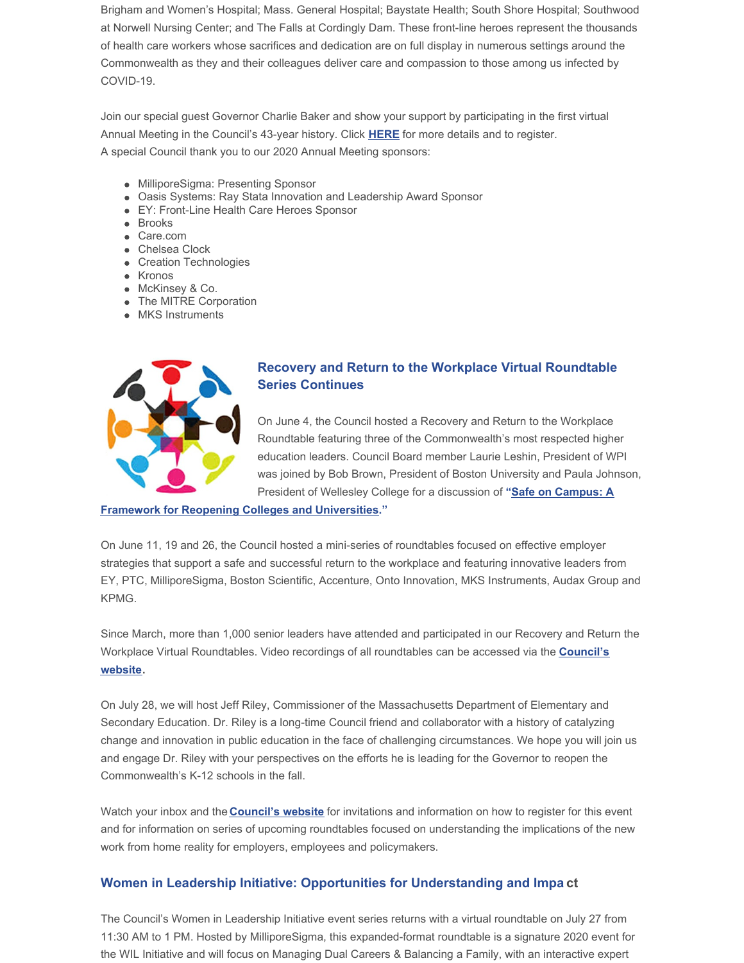Brigham and Women's Hospital; Mass. General Hospital; Baystate Health; South Shore Hospital; Southwood at Norwell Nursing Center; and The Falls at Cordingly Dam. These front-line heroes represent the thousands of health care workers whose sacrifices and dedication are on full display in numerous settings around the Commonwealth as they and their colleagues deliver care and compassion to those among us infected by COVID-19.

Join our special guest Governor Charlie Baker and show your support by participating in the first virtual Annual Meeting in the Council's 43-year history. Click **[HERE](https://www.eventbrite.com/e/mhtc-2020-annual-meeting-registration-106981193630?aff=MHTC2020AnnualMeeting)** for more details and to register. A special Council thank you to our 2020 Annual Meeting sponsors:

- MilliporeSigma: Presenting Sponsor
- Oasis Systems: Ray Stata Innovation and Leadership Award Sponsor
- EY: Front-Line Health Care Heroes Sponsor
- Brooks
- Care.com
- Chelsea Clock
- Creation Technologies
- Kronos
- McKinsey & Co.
- The MITRE Corporation
- MKS Instruments



## **Recovery and Return to the Workplace Virtual Roundtable Series Continues**

On June 4, the Council hosted a Recovery and Return to the Workplace Roundtable featuring three of the Commonwealth's most respected higher education leaders. Council Board member Laurie Leshin, President of WPI was joined by Bob Brown, President of Boston University and Paula Johnson, President of Wellesley College for a discussion of **"Safe on Campus: A**

#### **Framework for Reopening Colleges and [Universities."](http://www.mhtc.org/wp-content/uploads/2020/06/Higher-Ed-Framework-Briefing-for-Posting.pdf)**

On June 11, 19 and 26, the Council hosted a mini-series of roundtables focused on effective employer strategies that support a safe and successful return to the workplace and featuring innovative leaders from EY, PTC, MilliporeSigma, Boston Scientific, Accenture, Onto Innovation, MKS Instruments, Audax Group and KPMG.

Since March, more than 1,000 senior leaders have attended and participated in our Recovery and Return the Workplace Virtual [Roundtables.](http://www.mhtc.org/events/covid-19-response/) Video recordings of all roundtables can be accessed via the **Council's website**.

On July 28, we will host Jeff Riley, Commissioner of the Massachusetts Department of Elementary and Secondary Education. Dr. Riley is a long-time Council friend and collaborator with a history of catalyzing change and innovation in public education in the face of challenging circumstances. We hope you will join us and engage Dr. Riley with your perspectives on the efforts he is leading for the Governor to reopen the Commonwealth's K-12 schools in the fall.

Watch your inbox and the **[Council's](http://www.mhtc.org/events/covid-19-response/) website** for invitations and information on how to register for this event and for information on series of upcoming roundtables focused on understanding the implications of the new work from home reality for employers, employees and policymakers.

#### **Women in Leadership Initiative: Opportunities for Understanding and Impa ct**

The Council's Women in Leadership Initiative event series returns with a virtual roundtable on July 27 from 11:30 AM to 1 PM. Hosted by MilliporeSigma, this expanded-format roundtable is a signature 2020 event for the WIL Initiative and will focus on Managing Dual Careers & Balancing a Family, with an interactive expert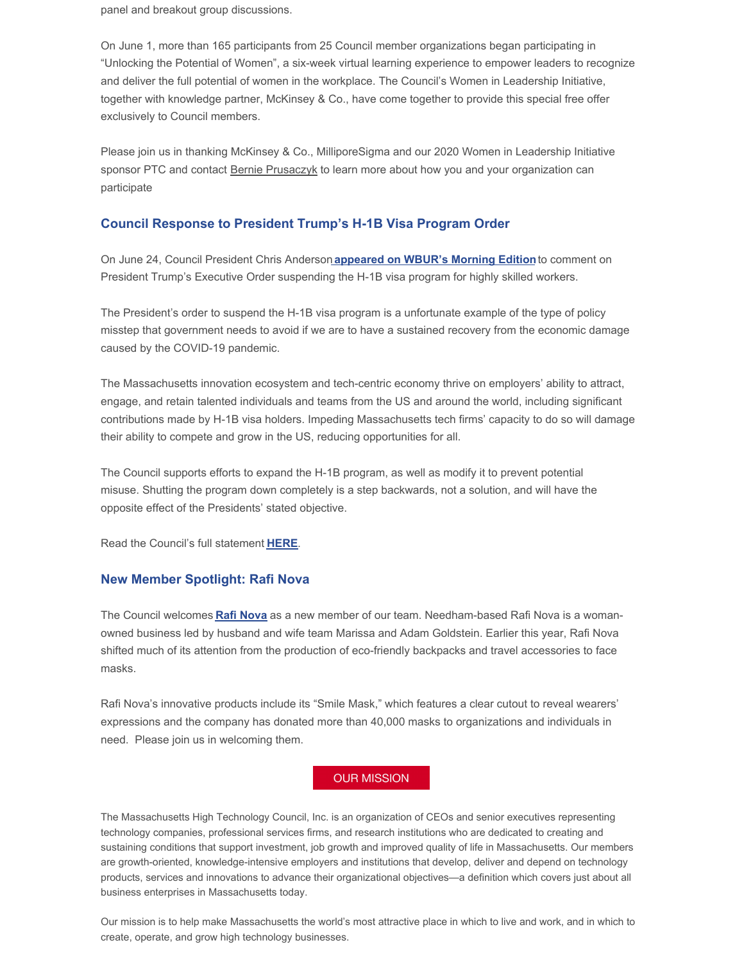panel and breakout group discussions.

On June 1, more than 165 participants from 25 Council member organizations began participating in "Unlocking the Potential of Women", a six-week virtual learning experience to empower leaders to recognize and deliver the full potential of women in the workplace. The Council's Women in Leadership Initiative, together with knowledge partner, McKinsey & Co., have come together to provide this special free offer exclusively to Council members.

Please join us in thanking McKinsey & Co., MilliporeSigma and our 2020 Women in Leadership Initiative sponsor PTC and contact Bernie [Prusaczyk](mailto:bernie@mhtc.org) to learn more about how you and your organization can participate

#### **Council Response to President Trump's H-1B Visa Program Order**

On June 24, Council President Chris Anderson **[appeared](http://www.mhtc.org/2020/06/24/council-president-chris-anderson-comments-on-president-trumps-order-halting-the-h-1b-visa-program-on-wbur-radios-morning-edition/) on WBUR's Morning Edition**to comment on President Trump's Executive Order suspending the H-1B visa program for highly skilled workers.

The President's order to suspend the H-1B visa program is a unfortunate example of the type of policy misstep that government needs to avoid if we are to have a sustained recovery from the economic damage caused by the COVID-19 pandemic.

The Massachusetts innovation ecosystem and tech-centric economy thrive on employers' ability to attract, engage, and retain talented individuals and teams from the US and around the world, including significant contributions made by H-1B visa holders. Impeding Massachusetts tech firms' capacity to do so will damage their ability to compete and grow in the US, reducing opportunities for all.

The Council supports efforts to expand the H-1B program, as well as modify it to prevent potential misuse. Shutting the program down completely is a step backwards, not a solution, and will have the opposite effect of the Presidents' stated objective.

Read the Council's full statement **[HERE](http://www.mhtc.org/wp-content/uploads/2020/06/MHTC-Public-Statement-H1B-Visa-6.24.20-FINAL.pdf)**.

#### **New Member Spotlight: Rafi Nova**

The Council welcomes **Rafi [Nova](https://rafinova.com/)** as a new member of our team. Needham-based Rafi Nova is a womanowned business led by husband and wife team Marissa and Adam Goldstein. Earlier this year, Rafi Nova shifted much of its attention from the production of eco-friendly backpacks and travel accessories to face masks.

Rafi Nova's innovative products include its "Smile Mask," which features a clear cutout to reveal wearers' expressions and the company has donated more than 40,000 masks to organizations and individuals in need. Please join us in welcoming them.

### **OUR MISSION**

The Massachusetts High Technology Council, Inc. is an organization of CEOs and senior executives representing technology companies, professional services firms, and research institutions who are dedicated to creating and sustaining conditions that support investment, job growth and improved quality of life in Massachusetts. Our members are growth-oriented, knowledge-intensive employers and institutions that develop, deliver and depend on technology products, services and innovations to advance their organizational objectives—a definition which covers just about all business enterprises in Massachusetts today.

Our mission is to help make Massachusetts the world's most attractive place in which to live and work, and in which to create, operate, and grow high technology businesses.